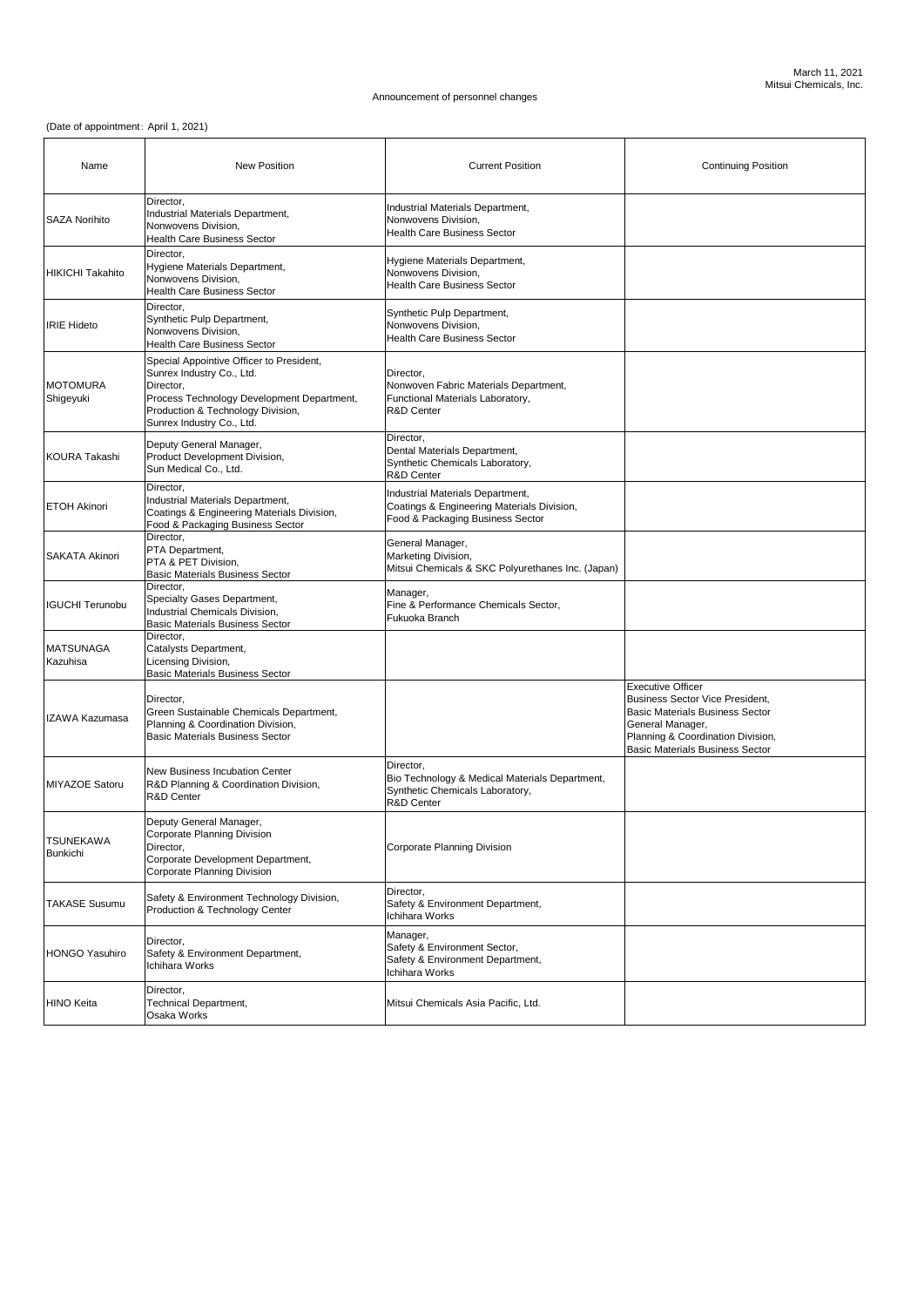## (Date of appointment: April 1, 2021)

| Name                                | <b>New Position</b>                                                                                                                                                                                | <b>Current Position</b>                                                                                                 | <b>Continuing Position</b>                                                                                                                                                                               |
|-------------------------------------|----------------------------------------------------------------------------------------------------------------------------------------------------------------------------------------------------|-------------------------------------------------------------------------------------------------------------------------|----------------------------------------------------------------------------------------------------------------------------------------------------------------------------------------------------------|
| <b>SAZA Norihito</b>                | Director,<br>Industrial Materials Department,<br>Nonwovens Division,<br><b>Health Care Business Sector</b>                                                                                         | Industrial Materials Department,<br>Nonwovens Division,<br><b>Health Care Business Sector</b>                           |                                                                                                                                                                                                          |
| <b>HIKICHI Takahito</b>             | Director,<br>Hygiene Materials Department,<br>Nonwovens Division,<br><b>Health Care Business Sector</b>                                                                                            | Hygiene Materials Department,<br>Nonwovens Division,<br><b>Health Care Business Sector</b>                              |                                                                                                                                                                                                          |
| <b>IRIE Hideto</b>                  | Director,<br>Synthetic Pulp Department,<br>Nonwovens Division,<br><b>Health Care Business Sector</b>                                                                                               | Synthetic Pulp Department,<br>Nonwovens Division,<br><b>Health Care Business Sector</b>                                 |                                                                                                                                                                                                          |
| <b>MOTOMURA</b><br>Shigeyuki        | Special Appointive Officer to President,<br>Sunrex Industry Co., Ltd.<br>Director,<br>Process Technology Development Department,<br>Production & Technology Division,<br>Sunrex Industry Co., Ltd. | Director,<br>Nonwoven Fabric Materials Department,<br>Functional Materials Laboratory,<br><b>R&amp;D Center</b>         |                                                                                                                                                                                                          |
| <b>KOURA Takashi</b>                | Deputy General Manager,<br>Product Development Division,<br>Sun Medical Co., Ltd.                                                                                                                  | Director,<br>Dental Materials Department,<br>Synthetic Chemicals Laboratory,<br><b>R&amp;D Center</b>                   |                                                                                                                                                                                                          |
| <b>ETOH Akinori</b>                 | Director,<br>Industrial Materials Department,<br>Coatings & Engineering Materials Division,<br>Food & Packaging Business Sector                                                                    | Industrial Materials Department,<br>Coatings & Engineering Materials Division,<br>Food & Packaging Business Sector      |                                                                                                                                                                                                          |
| <b>SAKATA Akinori</b>               | Director,<br>PTA Department,<br><b>PTA &amp; PET Division,</b><br><b>Basic Materials Business Sector</b>                                                                                           | General Manager,<br>Marketing Division,<br>Mitsui Chemicals & SKC Polyurethanes Inc. (Japan)                            |                                                                                                                                                                                                          |
| <b>IGUCHI Terunobu</b>              | Director,<br>Specialty Gases Department,<br>Industrial Chemicals Division,<br><b>Basic Materials Business Sector</b>                                                                               | Manager,<br>Fine & Performance Chemicals Sector,<br>Fukuoka Branch                                                      |                                                                                                                                                                                                          |
| <b>MATSUNAGA</b><br>Kazuhisa        | Director,<br>Catalysts Department,<br>Licensing Division,<br><b>Basic Materials Business Sector</b>                                                                                                |                                                                                                                         |                                                                                                                                                                                                          |
| <b>IZAWA Kazumasa</b>               | Director,<br>Green Sustainable Chemicals Department,<br>Planning & Coordination Division,<br><b>Basic Materials Business Sector</b>                                                                |                                                                                                                         | <b>Executive Officer</b><br>Business Sector Vice President,<br><b>Basic Materials Business Sector</b><br>General Manager,<br>Planning & Coordination Division,<br><b>Basic Materials Business Sector</b> |
| <b>MIYAZOE Satoru</b>               | New Business Incubation Center<br><b>R&amp;D Planning &amp; Coordination Division,</b><br><b>R&amp;D Center</b>                                                                                    | Director,<br>Bio Technology & Medical Materials Department,<br>Synthetic Chemicals Laboratory,<br><b>R&amp;D Center</b> |                                                                                                                                                                                                          |
| <b>TSUNEKAWA</b><br><b>Bunkichi</b> | Deputy General Manager,<br>Corporate Planning Division<br>Director,<br>Corporate Development Department,<br>Corporate Planning Division                                                            | <b>Corporate Planning Division</b>                                                                                      |                                                                                                                                                                                                          |
| <b>TAKASE Susumu</b>                | Safety & Environment Technology Division,<br>Production & Technology Center                                                                                                                        | Director,<br>Safety & Environment Department,<br>Ichihara Works                                                         |                                                                                                                                                                                                          |
| HONGO Yasuhiro                      | Director,<br>Safety & Environment Department,<br>Ichihara Works                                                                                                                                    | Manager,<br>Safety & Environment Sector,<br>Safety & Environment Department,<br>Ichihara Works                          |                                                                                                                                                                                                          |
| <b>HINO Keita</b>                   | Director,<br><b>Technical Department,</b><br>Osaka Works                                                                                                                                           | Mitsui Chemicals Asia Pacific, Ltd.                                                                                     |                                                                                                                                                                                                          |

## Announcement of personnel changes